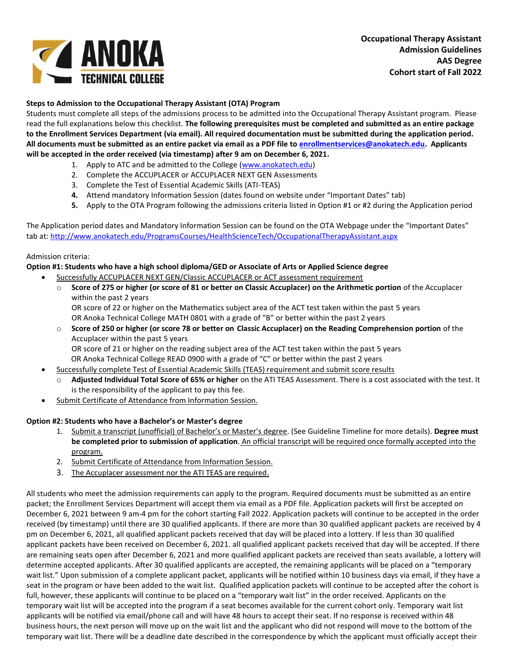

## **Steps to Admission to the Occupational Therapy Assistant (OTA) Program**

Students must complete all steps of the admissions process to be admitted into the Occupational Therapy Assistant program. Please read the full explanations below this checklist. **The following prerequisites must be completed and submitted as an entire package to the Enrollment Services Department (via email). All required documentation must be submitted during the application period. All documents must be submitted as an entire packet via email as a PDF file to [enrollmentservices@anokatech.edu.](mailto:enrollmentservices@anokatech.edu) Applicants will be accepted in the order received (via timestamp) after 9 am on December 6, 2021.**

- 1. Apply to ATC and be admitted to the College [\(www.anokatech.edu\)](http://www.anokatech.edu/)
- 2. Complete the ACCUPLACER or ACCUPLACER NEXT GEN Assessments
- 3. Complete the Test of Essential Academic Skills (ATI-TEAS)
- **4.** Attend mandatory Information Session (dates found on website under "Important Dates" tab)
- **5.** Apply to the OTA Program following the admissions criteria listed in Option #1 or #2 during the Application period

The Application period dates and Mandatory Information Session can be found on the OTA Webpage under the "Important Dates" tab at[: http://www.anokatech.edu/ProgramsCourses/HealthScienceTech/OccupationalTherapyAssistant.aspx](http://www.anokatech.edu/ProgramsCourses/HealthScienceTech/OccupationalTherapyAssistant.aspx) 

## Admission criteria:

## **Option #1: Students who have a high school diploma/GED or Associate of Arts or Applied Science degree**

- Successfully ACCUPLACER NEXT GEN/Classic ACCUPLACER or ACT assessment requirement
	- o **Score of 275 or higher (or score of 81 or better on Classic Accuplacer) on the Arithmetic portion** of the Accuplacer within the past 2 years

OR score of 22 or higher on the Mathematics subject area of the ACT test taken within the past 5 years OR Anoka Technical College MATH 0801 with a grade of "B" or better within the past 2 years

o **Score of 250 or higher (or score 78 or better on Classic Accuplacer) on the Reading Comprehension portion** of the Accuplacer within the past 5 years

OR score of 21 or higher on the reading subject area of the ACT test taken within the past 5 years OR Anoka Technical College READ 0900 with a grade of "C" or better within the past 2 years

- Successfully complete Test of Essential Academic Skills (TEAS) requirement and submit score results
- o **Adjusted Individual Total Score of 65% or higher** on the ATI TEAS Assessment. There is a cost associated with the test. It is the responsibility of the applicant to pay this fee.
- Submit Certificate of Attendance from Information Session.

## **Option #2: Students who have a Bachelor's or Master's degree**

- 1. Submit a transcript (unofficial) of Bachelor's or Master's degree. (See Guideline Timeline for more details). **Degree must be completed prior to submission of application**. An official transcript will be required once formally accepted into the program.
- 2. Submit Certificate of Attendance from Information Session.
- 3. The Accuplacer assessment nor the ATI TEAS are required.

All students who meet the admission requirements can apply to the program. Required documents must be submitted as an entire packet; the Enrollment Services Department will accept them via email as a PDF file. Application packets will first be accepted on December 6, 2021 between 9 am-4 pm for the cohort starting Fall 2022. Application packets will continue to be accepted in the order received (by timestamp) until there are 30 qualified applicants. If there are more than 30 qualified applicant packets are received by 4 pm on December 6, 2021, all qualified applicant packets received that day will be placed into a lottery. If less than 30 qualified applicant packets have been received on December 6, 2021. all qualified applicant packets received that day will be accepted. If there are remaining seats open after December 6, 2021 and more qualified applicant packets are received than seats available, a lottery will determine accepted applicants. After 30 qualified applicants are accepted, the remaining applicants will be placed on a "temporary wait list." Upon submission of a complete applicant packet, applicants will be notified within 10 business days via email, if they have a seat in the program or have been added to the wait list. Qualified application packets will continue to be accepted after the cohort is full, however, these applicants will continue to be placed on a "temporary wait list" in the order received. Applicants on the temporary wait list will be accepted into the program if a seat becomes available for the current cohort only. Temporary wait list applicants will be notified via email/phone call and will have 48 hours to accept their seat. If no response is received within 48 business hours, the next person will move up on the wait list and the applicant who did not respond will move to the bottom of the temporary wait list. There will be a deadline date described in the correspondence by which the applicant must officially accept their